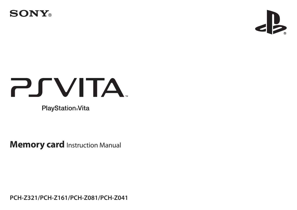



# **PSVITA**

**PlayStation**®Vita

**Memory card** Instruction Manual

**PCH-Z321/PCH-Z161/PCH-Z081/PCH-Z041**